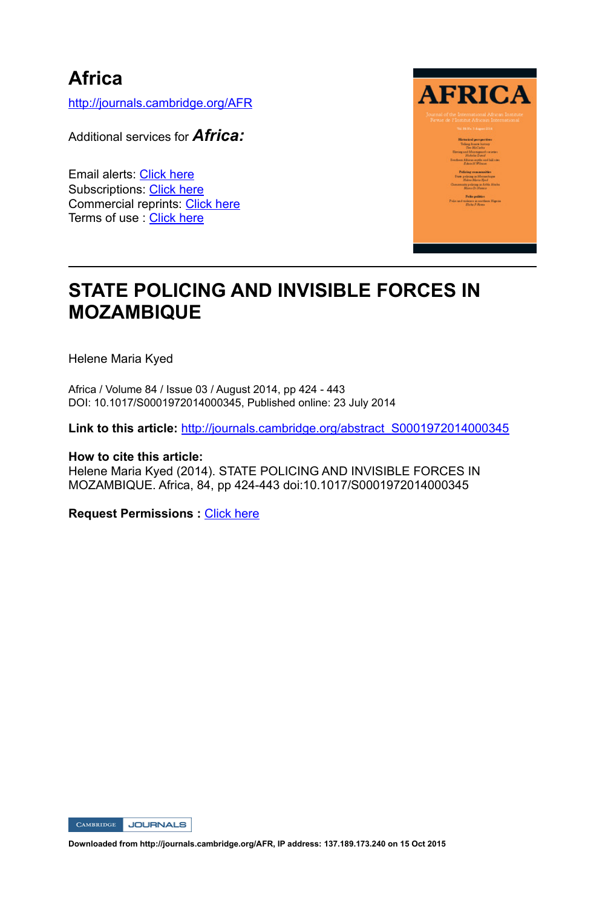**Africa** http://journals.cambridge.org/AFR

Additional services for *Africa:*

Email alerts: Click here Subscriptions: Click here Commercial reprints: Click here Terms of use : Click here



# **STATE POLICING AND INVISIBLE FORCES IN MOZAMBIQUE**

Helene Maria Kyed

Africa / Volume 84 / Issue 03 / August 2014, pp 424 - 443 DOI: 10.1017/S0001972014000345, Published online: 23 July 2014

**Link to this article:** http://journals.cambridge.org/abstract\_S0001972014000345

### **How to cite this article:**

Helene Maria Kyed (2014). STATE POLICING AND INVISIBLE FORCES IN MOZAMBIQUE. Africa, 84, pp 424-443 doi:10.1017/S0001972014000345

**Request Permissions : Click here** 

CAMBRIDGE JOURNALS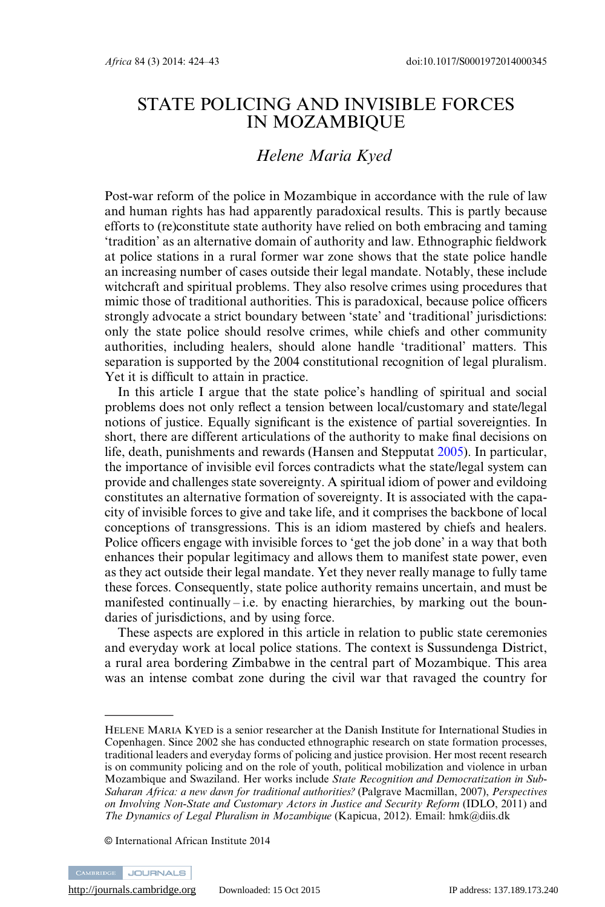# STATE POLICING AND INVISIBLE FORCES IN MOZAMBIQUE

# Helene Maria Kyed

Post-war reform of the police in Mozambique in accordance with the rule of law and human rights has had apparently paradoxical results. This is partly because efforts to (re)constitute state authority have relied on both embracing and taming 'tradition' as an alternative domain of authority and law. Ethnographic fieldwork at police stations in a rural former war zone shows that the state police handle an increasing number of cases outside their legal mandate. Notably, these include witchcraft and spiritual problems. They also resolve crimes using procedures that mimic those of traditional authorities. This is paradoxical, because police officers strongly advocate a strict boundary between 'state' and 'traditional' jurisdictions: only the state police should resolve crimes, while chiefs and other community authorities, including healers, should alone handle 'traditional' matters. This separation is supported by the 2004 constitutional recognition of legal pluralism. Yet it is difficult to attain in practice.

In this article I argue that the state police's handling of spiritual and social problems does not only reflect a tension between local/customary and state/legal notions of justice. Equally significant is the existence of partial sovereignties. In short, there are different articulations of the authority to make final decisions on life, death, punishments and rewards (Hansen and Stepputat [2005\)](#page-18-0). In particular, the importance of invisible evil forces contradicts what the state/legal system can provide and challenges state sovereignty. A spiritual idiom of power and evildoing constitutes an alternative formation of sovereignty. It is associated with the capacity of invisible forces to give and take life, and it comprises the backbone of local conceptions of transgressions. This is an idiom mastered by chiefs and healers. Police officers engage with invisible forces to 'get the job done' in a way that both enhances their popular legitimacy and allows them to manifest state power, even as they act outside their legal mandate. Yet they never really manage to fully tame these forces. Consequently, state police authority remains uncertain, and must be manifested continually – i.e. by enacting hierarchies, by marking out the boundaries of jurisdictions, and by using force.

These aspects are explored in this article in relation to public state ceremonies and everyday work at local police stations. The context is Sussundenga District, a rural area bordering Zimbabwe in the central part of Mozambique. This area was an intense combat zone during the civil war that ravaged the country for

*©* International African Institute 2014

CAMBRIDGE JOURNALS

HELENE MARIA KYED is a senior researcher at the Danish Institute for International Studies in Copenhagen. Since 2002 she has conducted ethnographic research on state formation processes, traditional leaders and everyday forms of policing and justice provision. Her most recent research is on community policing and on the role of youth, political mobilization and violence in urban Mozambique and Swaziland. Her works include State Recognition and Democratization in Sub-Saharan Africa: a new dawn for traditional authorities? (Palgrave Macmillan, 2007), Perspectives on Involving Non-State and Customary Actors in Justice and Security Reform (IDLO, 2011) and The Dynamics of Legal Pluralism in Mozambique (Kapicua, 2012). Email: hmk@diis.dk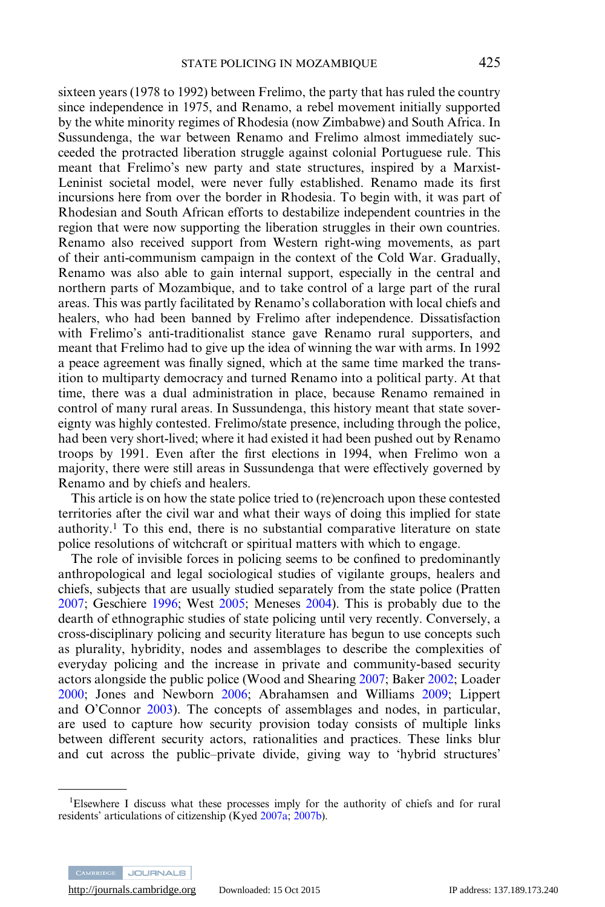sixteen years (1978 to 1992) between Frelimo, the party that has ruled the country since independence in 1975, and Renamo, a rebel movement initially supported by the white minority regimes of Rhodesia (now Zimbabwe) and South Africa. In Sussundenga, the war between Renamo and Frelimo almost immediately succeeded the protracted liberation struggle against colonial Portuguese rule. This meant that Frelimo's new party and state structures, inspired by a Marxist-Leninist societal model, were never fully established. Renamo made its first incursions here from over the border in Rhodesia. To begin with, it was part of Rhodesian and South African efforts to destabilize independent countries in the region that were now supporting the liberation struggles in their own countries. Renamo also received support from Western right-wing movements, as part of their anti-communism campaign in the context of the Cold War. Gradually, Renamo was also able to gain internal support, especially in the central and northern parts of Mozambique, and to take control of a large part of the rural areas. This was partly facilitated by Renamo's collaboration with local chiefs and healers, who had been banned by Frelimo after independence. Dissatisfaction with Frelimo's anti-traditionalist stance gave Renamo rural supporters, and meant that Frelimo had to give up the idea of winning the war with arms. In 1992 a peace agreement was finally signed, which at the same time marked the transition to multiparty democracy and turned Renamo into a political party. At that time, there was a dual administration in place, because Renamo remained in control of many rural areas. In Sussundenga, this history meant that state sovereignty was highly contested. Frelimo/state presence, including through the police, had been very short-lived; where it had existed it had been pushed out by Renamo troops by 1991. Even after the first elections in 1994, when Frelimo won a majority, there were still areas in Sussundenga that were effectively governed by Renamo and by chiefs and healers.

This article is on how the state police tried to (re)encroach upon these contested territories after the civil war and what their ways of doing this implied for state authority.<sup>1</sup> To this end, there is no substantial comparative literature on state police resolutions of witchcraft or spiritual matters with which to engage.

The role of invisible forces in policing seems to be confined to predominantly anthropological and legal sociological studies of vigilante groups, healers and chiefs, subjects that are usually studied separately from the state police (Pratten [2007;](#page-19-0) Geschiere [1996;](#page-18-0) West [2005](#page-19-0); Meneses [2004](#page-19-0)). This is probably due to the dearth of ethnographic studies of state policing until very recently. Conversely, a cross-disciplinary policing and security literature has begun to use concepts such as plurality, hybridity, nodes and assemblages to describe the complexities of everyday policing and the increase in private and community-based security actors alongside the public police (Wood and Shearing [2007](#page-19-0); Baker [2002;](#page-18-0) Loader [2000;](#page-19-0) Jones and Newborn [2006;](#page-18-0) Abrahamsen and Williams [2009](#page-17-0); Lippert and O'Connor [2003](#page-19-0)). The concepts of assemblages and nodes, in particular, are used to capture how security provision today consists of multiple links between different security actors, rationalities and practices. These links blur and cut across the public–private divide, giving way to 'hybrid structures'

CAMBRIDGE JOURNALS

<sup>&</sup>lt;sup>1</sup>Elsewhere I discuss what these processes imply for the authority of chiefs and for rural residents' articulations of citizenship (Kyed [2007a](#page-18-0); [2007b\)](#page-18-0).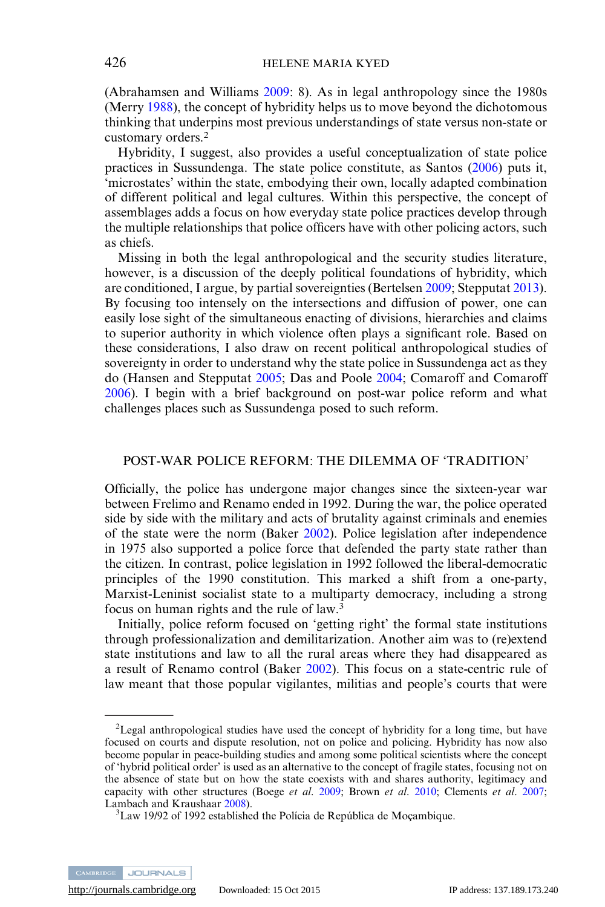(Abrahamsen and Williams [2009:](#page-17-0) 8). As in legal anthropology since the 1980s (Merry [1988](#page-19-0)), the concept of hybridity helps us to move beyond the dichotomous thinking that underpins most previous understandings of state versus non-state or customary orders.<sup>2</sup>

Hybridity, I suggest, also provides a useful conceptualization of state police practices in Sussundenga. The state police constitute, as Santos ([2006\)](#page-19-0) puts it, 'microstates' within the state, embodying their own, locally adapted combination of different political and legal cultures. Within this perspective, the concept of assemblages adds a focus on how everyday state police practices develop through the multiple relationships that police officers have with other policing actors, such as chiefs.

Missing in both the legal anthropological and the security studies literature, however, is a discussion of the deeply political foundations of hybridity, which are conditioned, I argue, by partial sovereignties (Bertelsen [2009;](#page-18-0) Stepputat [2013](#page-19-0)). By focusing too intensely on the intersections and diffusion of power, one can easily lose sight of the simultaneous enacting of divisions, hierarchies and claims to superior authority in which violence often plays a significant role. Based on these considerations, I also draw on recent political anthropological studies of sovereignty in order to understand why the state police in Sussundenga act as they do (Hansen and Stepputat [2005;](#page-18-0) Das and Poole [2004](#page-18-0); Comaroff and Comaroff [2006\)](#page-18-0). I begin with a brief background on post-war police reform and what challenges places such as Sussundenga posed to such reform.

#### POST-WAR POLICE REFORM: THE DILEMMA OF 'TRADITION'

Officially, the police has undergone major changes since the sixteen-year war between Frelimo and Renamo ended in 1992. During the war, the police operated side by side with the military and acts of brutality against criminals and enemies of the state were the norm (Baker [2002\)](#page-18-0). Police legislation after independence in 1975 also supported a police force that defended the party state rather than the citizen. In contrast, police legislation in 1992 followed the liberal-democratic principles of the 1990 constitution. This marked a shift from a one-party, Marxist-Leninist socialist state to a multiparty democracy, including a strong focus on human rights and the rule of law.3

Initially, police reform focused on 'getting right' the formal state institutions through professionalization and demilitarization. Another aim was to (re)extend state institutions and law to all the rural areas where they had disappeared as a result of Renamo control (Baker [2002\)](#page-18-0). This focus on a state-centric rule of law meant that those popular vigilantes, militias and people's courts that were

CAMBRIDGE JOURNALS

 $2$ Legal anthropological studies have used the concept of hybridity for a long time, but have focused on courts and dispute resolution, not on police and policing. Hybridity has now also become popular in peace-building studies and among some political scientists where the concept of 'hybrid political order' is used as an alternative to the concept of fragile states, focusing not on the absence of state but on how the state coexists with and shares authority, legitimacy and capacity with other structures (Boege et al. [2009;](#page-18-0) Brown et al. [2010;](#page-18-0) Clements et al. [2007;](#page-18-0) Lambach and Kraushaar [2008\)](#page-19-0).

<sup>&</sup>lt;sup>3</sup> Law 19/92 of 1992 established the Polícia de República de Moçambique.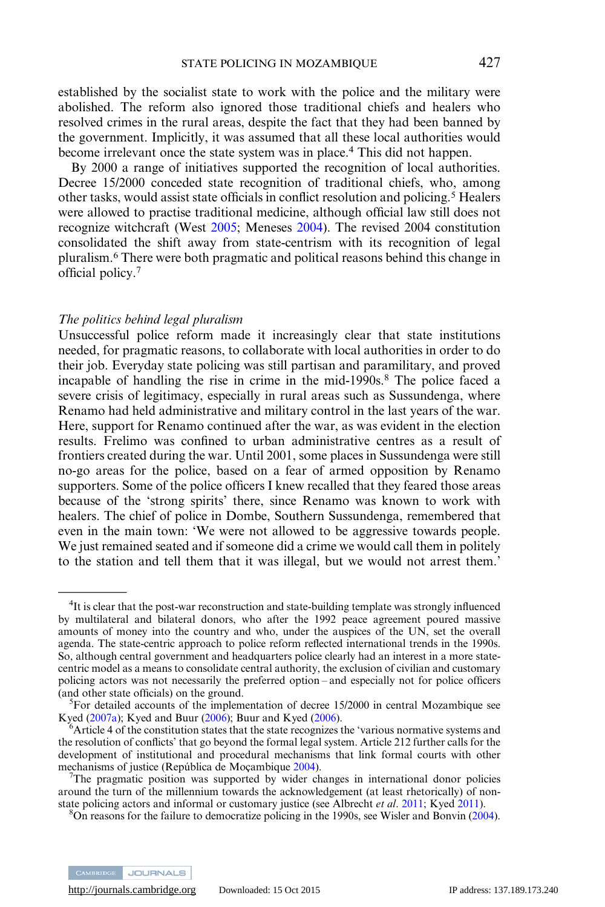established by the socialist state to work with the police and the military were abolished. The reform also ignored those traditional chiefs and healers who resolved crimes in the rural areas, despite the fact that they had been banned by the government. Implicitly, it was assumed that all these local authorities would become irrelevant once the state system was in place.4 This did not happen.

By 2000 a range of initiatives supported the recognition of local authorities. Decree 15/2000 conceded state recognition of traditional chiefs, who, among other tasks, would assist state officials in conflict resolution and policing.<sup>5</sup> Healers were allowed to practise traditional medicine, although official law still does not recognize witchcraft (West [2005](#page-19-0); Meneses [2004\)](#page-19-0). The revised 2004 constitution consolidated the shift away from state-centrism with its recognition of legal pluralism.<sup>6</sup> There were both pragmatic and political reasons behind this change in official policy.7

#### The politics behind legal pluralism

Unsuccessful police reform made it increasingly clear that state institutions needed, for pragmatic reasons, to collaborate with local authorities in order to do their job. Everyday state policing was still partisan and paramilitary, and proved incapable of handling the rise in crime in the mid-1990s.<sup>8</sup> The police faced a severe crisis of legitimacy, especially in rural areas such as Sussundenga, where Renamo had held administrative and military control in the last years of the war. Here, support for Renamo continued after the war, as was evident in the election results. Frelimo was confined to urban administrative centres as a result of frontiers created during the war. Until 2001, some places in Sussundenga were still no-go areas for the police, based on a fear of armed opposition by Renamo supporters. Some of the police officers I knew recalled that they feared those areas because of the 'strong spirits' there, since Renamo was known to work with healers. The chief of police in Dombe, Southern Sussundenga, remembered that even in the main town: 'We were not allowed to be aggressive towards people. We just remained seated and if someone did a crime we would call them in politely to the station and tell them that it was illegal, but we would not arrest them.'

CAMBRIDGE JOURNALS

<sup>&</sup>lt;sup>4</sup>It is clear that the post-war reconstruction and state-building template was strongly influenced by multilateral and bilateral donors, who after the 1992 peace agreement poured massive amounts of money into the country and who, under the auspices of the UN, set the overall agenda. The state-centric approach to police reform reflected international trends in the 1990s. So, although central government and headquarters police clearly had an interest in a more statecentric model as a means to consolidate central authority, the exclusion of civilian and customary policing actors was not necessarily the preferred option – and especially not for police officers (and other state officials) on the ground. <sup>5</sup>

 ${}^{5}$ For detailed accounts of the implementation of decree 15/2000 in central Mozambique see Kyed  $(2007a)$  $(2007a)$ ; Kyed and Buur  $(2006)$  $(2006)$ ; Buur and Kyed  $(2006)$ .

<sup>&</sup>lt;sup>6</sup> Article 4 of the constitution states that the state recognizes the 'various normative systems and the resolution of conflicts' that go beyond the formal legal system. Article 212 further calls for the development of institutional and procedural mechanisms that link formal courts with other mechanisms of justice (República de Moçambique [2004](#page-19-0)).

The pragmatic position was supported by wider changes in international donor policies around the turn of the millennium towards the acknowledgement (at least rhetorically) of nonstate policing actors and informal or customary justice (see Albrecht *et al.* [2011](#page-19-0); Kyed 2011).

On reasons for the failure to democratize policing in the 1990s, see Wisler and Bonvin [\(2004\)](#page-19-0).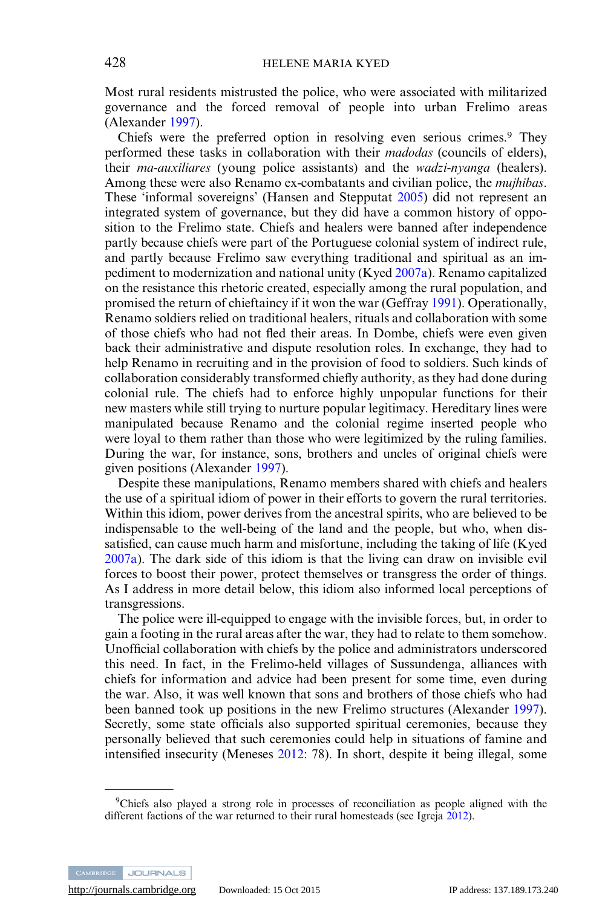Most rural residents mistrusted the police, who were associated with militarized governance and the forced removal of people into urban Frelimo areas (Alexander [1997\)](#page-18-0).

Chiefs were the preferred option in resolving even serious crimes.<sup>9</sup> They performed these tasks in collaboration with their madodas (councils of elders), their ma-auxiliares (young police assistants) and the wadzi-nyanga (healers). Among these were also Renamo ex-combatants and civilian police, the *mujhibas*. These 'informal sovereigns' (Hansen and Stepputat [2005](#page-18-0)) did not represent an integrated system of governance, but they did have a common history of opposition to the Frelimo state. Chiefs and healers were banned after independence partly because chiefs were part of the Portuguese colonial system of indirect rule, and partly because Frelimo saw everything traditional and spiritual as an impediment to modernization and national unity (Kyed [2007a](#page-18-0)). Renamo capitalized on the resistance this rhetoric created, especially among the rural population, and promised the return of chieftaincy if it won the war (Geffray [1991](#page-18-0)). Operationally, Renamo soldiers relied on traditional healers, rituals and collaboration with some of those chiefs who had not fled their areas. In Dombe, chiefs were even given back their administrative and dispute resolution roles. In exchange, they had to help Renamo in recruiting and in the provision of food to soldiers. Such kinds of collaboration considerably transformed chiefly authority, as they had done during colonial rule. The chiefs had to enforce highly unpopular functions for their new masters while still trying to nurture popular legitimacy. Hereditary lines were manipulated because Renamo and the colonial regime inserted people who were loyal to them rather than those who were legitimized by the ruling families. During the war, for instance, sons, brothers and uncles of original chiefs were given positions (Alexander [1997](#page-18-0)).

Despite these manipulations, Renamo members shared with chiefs and healers the use of a spiritual idiom of power in their efforts to govern the rural territories. Within this idiom, power derives from the ancestral spirits, who are believed to be indispensable to the well-being of the land and the people, but who, when dissatisfied, can cause much harm and misfortune, including the taking of life (Kyed [2007a](#page-18-0)). The dark side of this idiom is that the living can draw on invisible evil forces to boost their power, protect themselves or transgress the order of things. As I address in more detail below, this idiom also informed local perceptions of transgressions.

The police were ill-equipped to engage with the invisible forces, but, in order to gain a footing in the rural areas after the war, they had to relate to them somehow. Unofficial collaboration with chiefs by the police and administrators underscored this need. In fact, in the Frelimo-held villages of Sussundenga, alliances with chiefs for information and advice had been present for some time, even during the war. Also, it was well known that sons and brothers of those chiefs who had been banned took up positions in the new Frelimo structures (Alexander [1997](#page-18-0)). Secretly, some state officials also supported spiritual ceremonies, because they personally believed that such ceremonies could help in situations of famine and intensified insecurity (Meneses [2012:](#page-19-0) 78). In short, despite it being illegal, some

CAMBRIDGE JOURNALS

<sup>&</sup>lt;sup>9</sup>Chiefs also played a strong role in processes of reconciliation as people aligned with the different factions of the war returned to their rural homesteads (see Igreja [2012](#page-18-0)).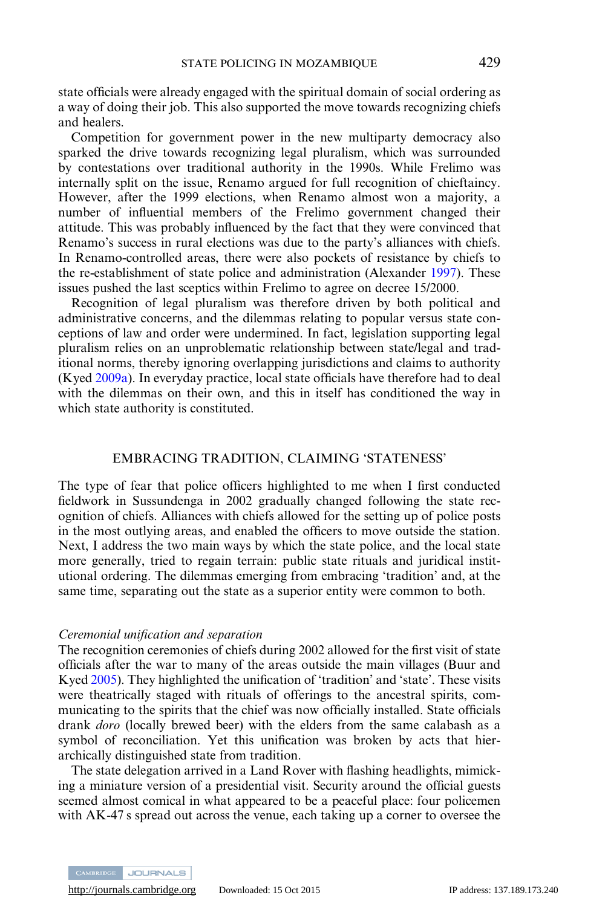state officials were already engaged with the spiritual domain of social ordering as a way of doing their job. This also supported the move towards recognizing chiefs and healers.

Competition for government power in the new multiparty democracy also sparked the drive towards recognizing legal pluralism, which was surrounded by contestations over traditional authority in the 1990s. While Frelimo was internally split on the issue, Renamo argued for full recognition of chieftaincy. However, after the 1999 elections, when Renamo almost won a majority, a number of influential members of the Frelimo government changed their attitude. This was probably influenced by the fact that they were convinced that Renamo's success in rural elections was due to the party's alliances with chiefs. In Renamo-controlled areas, there were also pockets of resistance by chiefs to the re-establishment of state police and administration (Alexander [1997](#page-18-0)). These issues pushed the last sceptics within Frelimo to agree on decree 15/2000.

Recognition of legal pluralism was therefore driven by both political and administrative concerns, and the dilemmas relating to popular versus state conceptions of law and order were undermined. In fact, legislation supporting legal pluralism relies on an unproblematic relationship between state/legal and traditional norms, thereby ignoring overlapping jurisdictions and claims to authority (Kyed [2009a](#page-19-0)). In everyday practice, local state officials have therefore had to deal with the dilemmas on their own, and this in itself has conditioned the way in which state authority is constituted.

# EMBRACING TRADITION, CLAIMING 'STATENESS'

The type of fear that police officers highlighted to me when I first conducted fieldwork in Sussundenga in 2002 gradually changed following the state recognition of chiefs. Alliances with chiefs allowed for the setting up of police posts in the most outlying areas, and enabled the officers to move outside the station. Next, I address the two main ways by which the state police, and the local state more generally, tried to regain terrain: public state rituals and juridical institutional ordering. The dilemmas emerging from embracing 'tradition' and, at the same time, separating out the state as a superior entity were common to both.

#### Ceremonial unification and separation

The recognition ceremonies of chiefs during 2002 allowed for the first visit of state officials after the war to many of the areas outside the main villages (Buur and Kyed [2005](#page-18-0)). They highlighted the unification of 'tradition' and 'state'. These visits were theatrically staged with rituals of offerings to the ancestral spirits, communicating to the spirits that the chief was now officially installed. State officials drank doro (locally brewed beer) with the elders from the same calabash as a symbol of reconciliation. Yet this unification was broken by acts that hierarchically distinguished state from tradition.

The state delegation arrived in a Land Rover with flashing headlights, mimicking a miniature version of a presidential visit. Security around the official guests seemed almost comical in what appeared to be a peaceful place: four policemen with AK-47 s spread out across the venue, each taking up a corner to oversee the

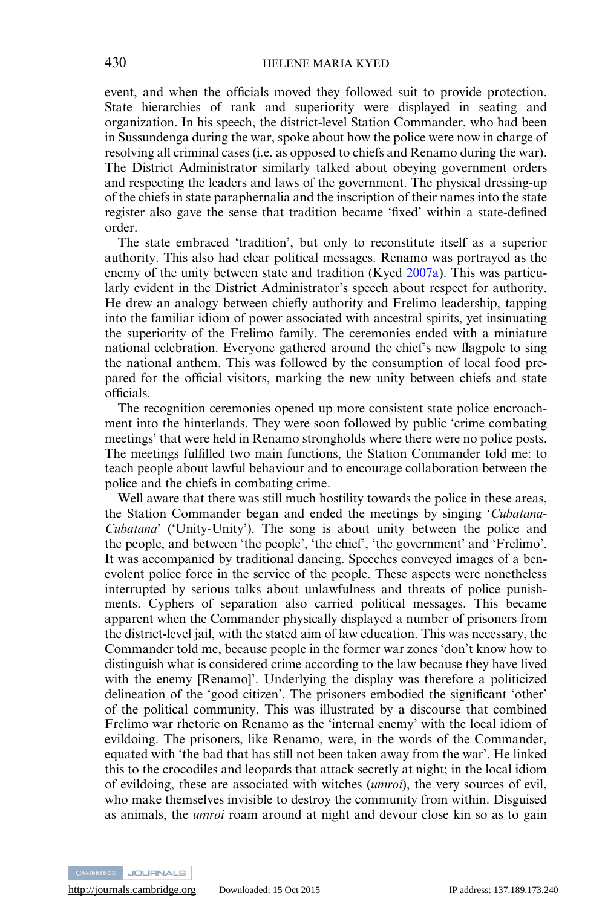event, and when the officials moved they followed suit to provide protection. State hierarchies of rank and superiority were displayed in seating and organization. In his speech, the district-level Station Commander, who had been in Sussundenga during the war, spoke about how the police were now in charge of resolving all criminal cases (i.e. as opposed to chiefs and Renamo during the war). The District Administrator similarly talked about obeying government orders and respecting the leaders and laws of the government. The physical dressing-up of the chiefs in state paraphernalia and the inscription of their names into the state register also gave the sense that tradition became 'fixed' within a state-defined order.

The state embraced 'tradition', but only to reconstitute itself as a superior authority. This also had clear political messages. Renamo was portrayed as the enemy of the unity between state and tradition (Kyed [2007a\)](#page-18-0). This was particularly evident in the District Administrator's speech about respect for authority. He drew an analogy between chiefly authority and Frelimo leadership, tapping into the familiar idiom of power associated with ancestral spirits, yet insinuating the superiority of the Frelimo family. The ceremonies ended with a miniature national celebration. Everyone gathered around the chief's new flagpole to sing the national anthem. This was followed by the consumption of local food prepared for the official visitors, marking the new unity between chiefs and state officials.

The recognition ceremonies opened up more consistent state police encroachment into the hinterlands. They were soon followed by public 'crime combating meetings' that were held in Renamo strongholds where there were no police posts. The meetings fulfilled two main functions, the Station Commander told me: to teach people about lawful behaviour and to encourage collaboration between the police and the chiefs in combating crime.

Well aware that there was still much hostility towards the police in these areas, the Station Commander began and ended the meetings by singing 'Cubatana-Cubatana' ('Unity-Unity'). The song is about unity between the police and the people, and between 'the people', 'the chief', 'the government' and 'Frelimo'. It was accompanied by traditional dancing. Speeches conveyed images of a benevolent police force in the service of the people. These aspects were nonetheless interrupted by serious talks about unlawfulness and threats of police punishments. Cyphers of separation also carried political messages. This became apparent when the Commander physically displayed a number of prisoners from the district-level jail, with the stated aim of law education. This was necessary, the Commander told me, because people in the former war zones 'don't know how to distinguish what is considered crime according to the law because they have lived with the enemy [Renamo]'. Underlying the display was therefore a politicized delineation of the 'good citizen'. The prisoners embodied the significant 'other' of the political community. This was illustrated by a discourse that combined Frelimo war rhetoric on Renamo as the 'internal enemy' with the local idiom of evildoing. The prisoners, like Renamo, were, in the words of the Commander, equated with 'the bad that has still not been taken away from the war'. He linked this to the crocodiles and leopards that attack secretly at night; in the local idiom of evildoing, these are associated with witches  $(umroi)$ , the very sources of evil, who make themselves invisible to destroy the community from within. Disguised as animals, the umroi roam around at night and devour close kin so as to gain

CAMBRIDGE JOURNALS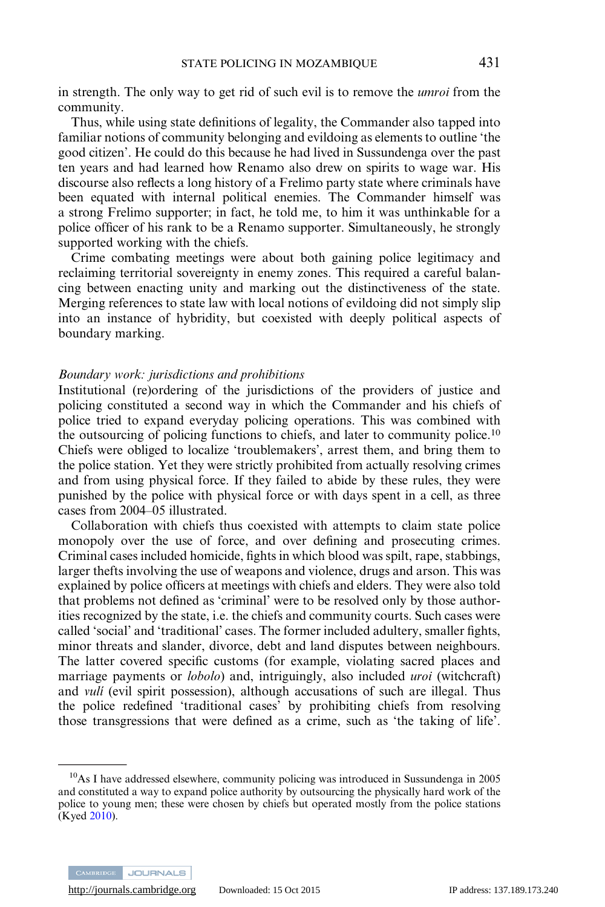in strength. The only way to get rid of such evil is to remove the *umroi* from the community.

Thus, while using state definitions of legality, the Commander also tapped into familiar notions of community belonging and evildoing as elements to outline 'the good citizen'. He could do this because he had lived in Sussundenga over the past ten years and had learned how Renamo also drew on spirits to wage war. His discourse also reflects a long history of a Frelimo party state where criminals have been equated with internal political enemies. The Commander himself was a strong Frelimo supporter; in fact, he told me, to him it was unthinkable for a police officer of his rank to be a Renamo supporter. Simultaneously, he strongly supported working with the chiefs.

Crime combating meetings were about both gaining police legitimacy and reclaiming territorial sovereignty in enemy zones. This required a careful balancing between enacting unity and marking out the distinctiveness of the state. Merging references to state law with local notions of evildoing did not simply slip into an instance of hybridity, but coexisted with deeply political aspects of boundary marking.

#### Boundary work: jurisdictions and prohibitions

Institutional (re)ordering of the jurisdictions of the providers of justice and policing constituted a second way in which the Commander and his chiefs of police tried to expand everyday policing operations. This was combined with the outsourcing of policing functions to chiefs, and later to community police.10 Chiefs were obliged to localize 'troublemakers', arrest them, and bring them to the police station. Yet they were strictly prohibited from actually resolving crimes and from using physical force. If they failed to abide by these rules, they were punished by the police with physical force or with days spent in a cell, as three cases from 2004–05 illustrated.

Collaboration with chiefs thus coexisted with attempts to claim state police monopoly over the use of force, and over defining and prosecuting crimes. Criminal cases included homicide, fights in which blood was spilt, rape, stabbings, larger thefts involving the use of weapons and violence, drugs and arson. This was explained by police officers at meetings with chiefs and elders. They were also told that problems not defined as 'criminal' were to be resolved only by those authorities recognized by the state, i.e. the chiefs and community courts. Such cases were called 'social' and 'traditional' cases. The former included adultery, smaller fights, minor threats and slander, divorce, debt and land disputes between neighbours. The latter covered specific customs (for example, violating sacred places and marriage payments or *lobolo*) and, intriguingly, also included *uroi* (witchcraft) and vulí (evil spirit possession), although accusations of such are illegal. Thus the police redefined 'traditional cases' by prohibiting chiefs from resolving those transgressions that were defined as a crime, such as 'the taking of life'.

CAMBRIDGE JOURNALS

<sup>10</sup>As I have addressed elsewhere, community policing was introduced in Sussundenga in 2005 and constituted a way to expand police authority by outsourcing the physically hard work of the police to young men; these were chosen by chiefs but operated mostly from the police stations (Kyed [2010\)](#page-19-0).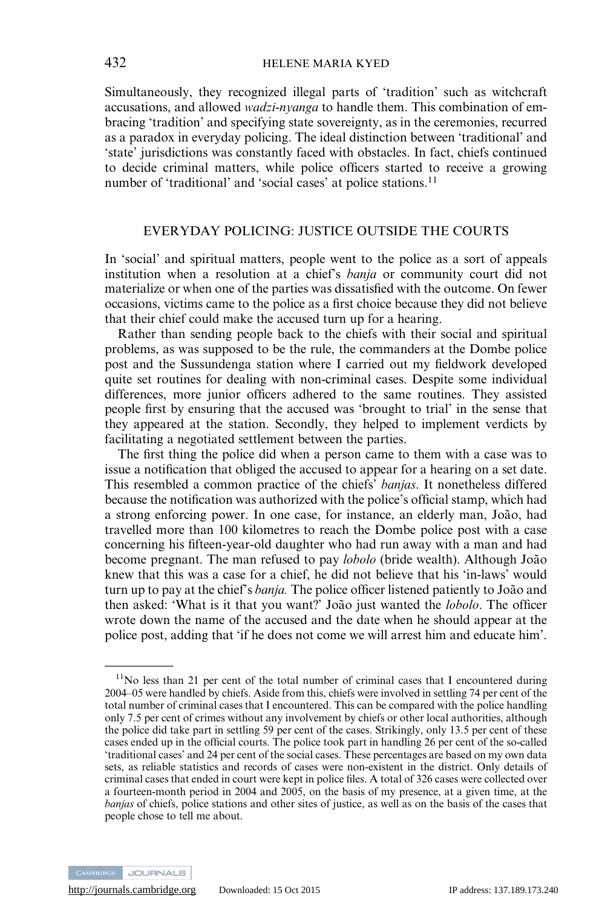Simultaneously, they recognized illegal parts of 'tradition' such as witchcraft accusations, and allowed *wadzi-nyanga* to handle them. This combination of embracing 'tradition' and specifying state sovereignty, as in the ceremonies, recurred as a paradox in everyday policing. The ideal distinction between 'traditional' and 'state' jurisdictions was constantly faced with obstacles. In fact, chiefs continued to decide criminal matters, while police officers started to receive a growing number of 'traditional' and 'social cases' at police stations.<sup>11</sup>

#### EVERYDAY POLICING: JUSTICE OUTSIDE THE COURTS

In 'social' and spiritual matters, people went to the police as a sort of appeals institution when a resolution at a chief's banja or community court did not materialize or when one of the parties was dissatisfied with the outcome. On fewer occasions, victims came to the police as a first choice because they did not believe that their chief could make the accused turn up for a hearing.

Rather than sending people back to the chiefs with their social and spiritual problems, as was supposed to be the rule, the commanders at the Dombe police post and the Sussundenga station where I carried out my fieldwork developed quite set routines for dealing with non-criminal cases. Despite some individual differences, more junior officers adhered to the same routines. They assisted people first by ensuring that the accused was 'brought to trial' in the sense that they appeared at the station. Secondly, they helped to implement verdicts by facilitating a negotiated settlement between the parties.

The first thing the police did when a person came to them with a case was to issue a notification that obliged the accused to appear for a hearing on a set date. This resembled a common practice of the chiefs' banjas. It nonetheless differed because the notification was authorized with the police's official stamp, which had a strong enforcing power. In one case, for instance, an elderly man, João, had travelled more than 100 kilometres to reach the Dombe police post with a case concerning his fifteen-year-old daughter who had run away with a man and had become pregnant. The man refused to pay lobolo (bride wealth). Although João knew that this was a case for a chief, he did not believe that his 'in-laws' would turn up to pay at the chief's *banja*. The police officer listened patiently to João and then asked: 'What is it that you want?' João just wanted the lobolo. The officer wrote down the name of the accused and the date when he should appear at the police post, adding that 'if he does not come we will arrest him and educate him'.

CAMBRIDGE JOURNALS

 $11$ No less than 21 per cent of the total number of criminal cases that I encountered during 2004–05 were handled by chiefs. Aside from this, chiefs were involved in settling 74 per cent of the total number of criminal cases that I encountered. This can be compared with the police handling only 7.5 per cent of crimes without any involvement by chiefs or other local authorities, although the police did take part in settling 59 per cent of the cases. Strikingly, only 13.5 per cent of these cases ended up in the official courts. The police took part in handling 26 per cent of the so-called 'traditional cases' and 24 per cent of the social cases. These percentages are based on my own data sets, as reliable statistics and records of cases were non-existent in the district. Only details of criminal cases that ended in court were kept in police files. A total of 326 cases were collected over a fourteen-month period in 2004 and 2005, on the basis of my presence, at a given time, at the banjas of chiefs, police stations and other sites of justice, as well as on the basis of the cases that people chose to tell me about.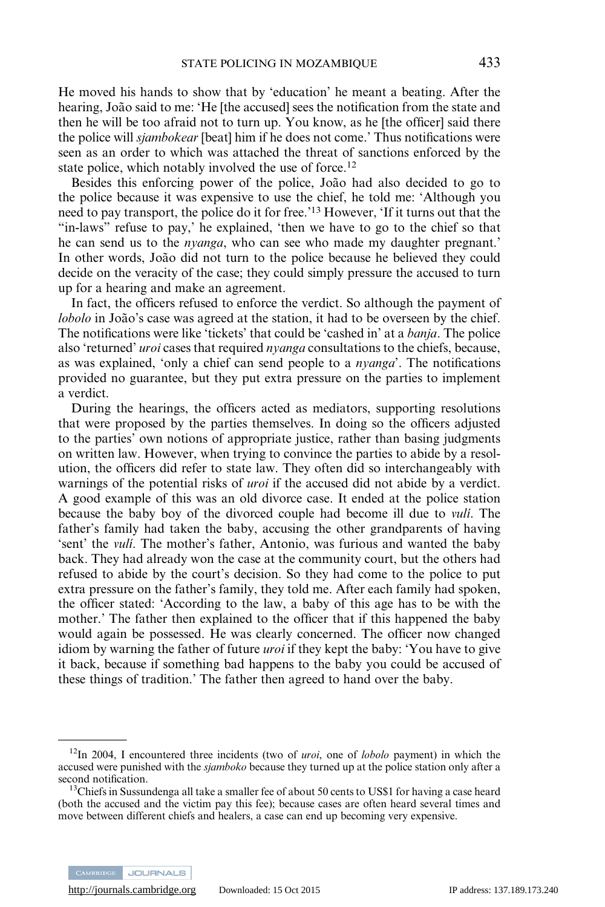He moved his hands to show that by 'education' he meant a beating. After the hearing, João said to me: 'He [the accused] sees the notification from the state and then he will be too afraid not to turn up. You know, as he [the officer] said there the police will *sjambokear* [beat] him if he does not come.' Thus notifications were seen as an order to which was attached the threat of sanctions enforced by the state police, which notably involved the use of force.<sup>12</sup>

Besides this enforcing power of the police, João had also decided to go to the police because it was expensive to use the chief, he told me: 'Although you need to pay transport, the police do it for free.' <sup>13</sup> However, 'If it turns out that the "in-laws" refuse to pay,' he explained, 'then we have to go to the chief so that he can send us to the nyanga, who can see who made my daughter pregnant.' In other words, João did not turn to the police because he believed they could decide on the veracity of the case; they could simply pressure the accused to turn up for a hearing and make an agreement.

In fact, the officers refused to enforce the verdict. So although the payment of lobolo in João's case was agreed at the station, it had to be overseen by the chief. The notifications were like 'tickets' that could be 'cashed in' at a *banja*. The police also 'returned' *uroi* cases that required *nyanga* consultations to the chiefs, because, as was explained, 'only a chief can send people to a nyanga'. The notifications provided no guarantee, but they put extra pressure on the parties to implement a verdict.

During the hearings, the officers acted as mediators, supporting resolutions that were proposed by the parties themselves. In doing so the officers adjusted to the parties' own notions of appropriate justice, rather than basing judgments on written law. However, when trying to convince the parties to abide by a resolution, the officers did refer to state law. They often did so interchangeably with warnings of the potential risks of *uroi* if the accused did not abide by a verdict. A good example of this was an old divorce case. It ended at the police station because the baby boy of the divorced couple had become ill due to vulí. The father's family had taken the baby, accusing the other grandparents of having 'sent' the vulí. The mother's father, Antonio, was furious and wanted the baby back. They had already won the case at the community court, but the others had refused to abide by the court's decision. So they had come to the police to put extra pressure on the father's family, they told me. After each family had spoken, the officer stated: 'According to the law, a baby of this age has to be with the mother.' The father then explained to the officer that if this happened the baby would again be possessed. He was clearly concerned. The officer now changed idiom by warning the father of future *uroi* if they kept the baby: 'You have to give it back, because if something bad happens to the baby you could be accused of these things of tradition.' The father then agreed to hand over the baby.

CAMBRIDGE JOURNALS

 $12$ In 2004, I encountered three incidents (two of *uroi*, one of *lobolo* payment) in which the accused were punished with the *sjamboko* because they turned up at the police station only after a second notification.

<sup>&</sup>lt;sup>13</sup>Chiefs in Sussundenga all take a smaller fee of about 50 cents to US\$1 for having a case heard (both the accused and the victim pay this fee); because cases are often heard several times and move between different chiefs and healers, a case can end up becoming very expensive.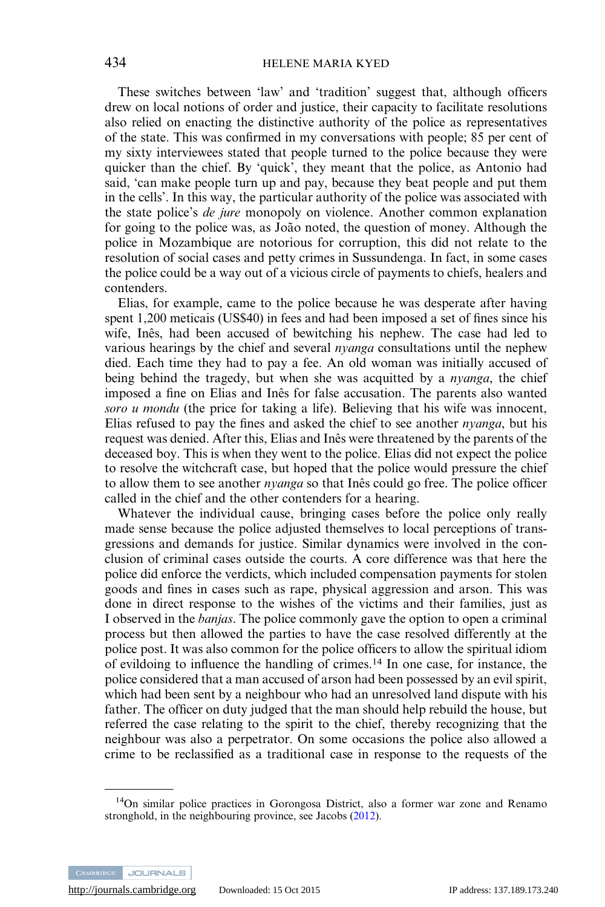These switches between 'law' and 'tradition' suggest that, although officers drew on local notions of order and justice, their capacity to facilitate resolutions also relied on enacting the distinctive authority of the police as representatives of the state. This was confirmed in my conversations with people; 85 per cent of my sixty interviewees stated that people turned to the police because they were quicker than the chief. By 'quick', they meant that the police, as Antonio had said, 'can make people turn up and pay, because they beat people and put them in the cells'. In this way, the particular authority of the police was associated with the state police's de jure monopoly on violence. Another common explanation for going to the police was, as João noted, the question of money. Although the police in Mozambique are notorious for corruption, this did not relate to the resolution of social cases and petty crimes in Sussundenga. In fact, in some cases the police could be a way out of a vicious circle of payments to chiefs, healers and contenders.

Elias, for example, came to the police because he was desperate after having spent 1,200 meticais (US\$40) in fees and had been imposed a set of fines since his wife, Inês, had been accused of bewitching his nephew. The case had led to various hearings by the chief and several nyanga consultations until the nephew died. Each time they had to pay a fee. An old woman was initially accused of being behind the tragedy, but when she was acquitted by a *nyanga*, the chief imposed a fine on Elias and Inês for false accusation. The parents also wanted soro u mondu (the price for taking a life). Believing that his wife was innocent, Elias refused to pay the fines and asked the chief to see another nyanga, but his request was denied. After this, Elias and Inês were threatened by the parents of the deceased boy. This is when they went to the police. Elias did not expect the police to resolve the witchcraft case, but hoped that the police would pressure the chief to allow them to see another *nyanga* so that Inês could go free. The police officer called in the chief and the other contenders for a hearing.

Whatever the individual cause, bringing cases before the police only really made sense because the police adjusted themselves to local perceptions of transgressions and demands for justice. Similar dynamics were involved in the conclusion of criminal cases outside the courts. A core difference was that here the police did enforce the verdicts, which included compensation payments for stolen goods and fines in cases such as rape, physical aggression and arson. This was done in direct response to the wishes of the victims and their families, just as I observed in the banjas. The police commonly gave the option to open a criminal process but then allowed the parties to have the case resolved differently at the police post. It was also common for the police officers to allow the spiritual idiom of evildoing to influence the handling of crimes.<sup>14</sup> In one case, for instance, the police considered that a man accused of arson had been possessed by an evil spirit, which had been sent by a neighbour who had an unresolved land dispute with his father. The officer on duty judged that the man should help rebuild the house, but referred the case relating to the spirit to the chief, thereby recognizing that the neighbour was also a perpetrator. On some occasions the police also allowed a crime to be reclassified as a traditional case in response to the requests of the

CAMBRIDGE JOURNALS

<sup>&</sup>lt;sup>14</sup>On similar police practices in Gorongosa District, also a former war zone and Renamo stronghold, in the neighbouring province, see Jacobs [\(2012](#page-18-0)).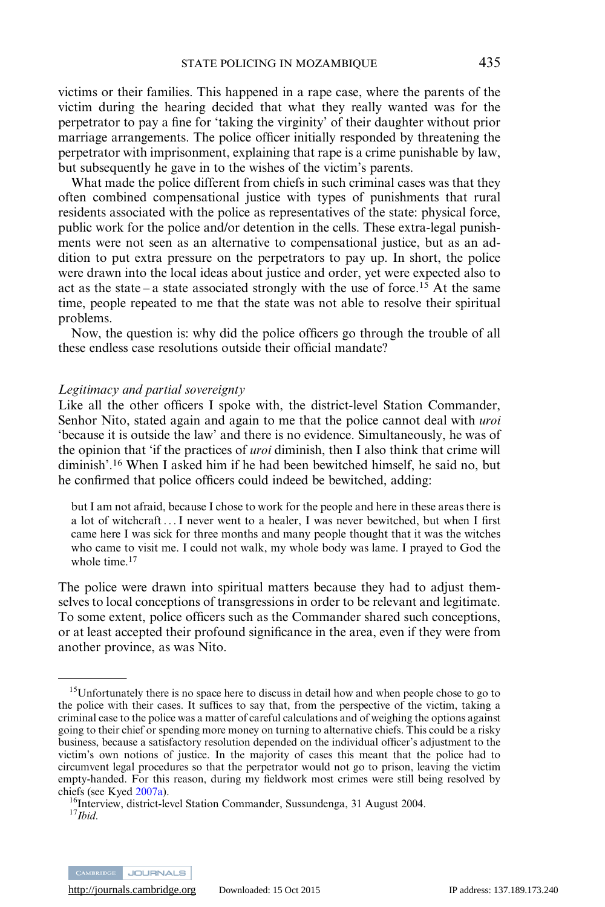victims or their families. This happened in a rape case, where the parents of the victim during the hearing decided that what they really wanted was for the perpetrator to pay a fine for 'taking the virginity' of their daughter without prior marriage arrangements. The police officer initially responded by threatening the perpetrator with imprisonment, explaining that rape is a crime punishable by law, but subsequently he gave in to the wishes of the victim's parents.

What made the police different from chiefs in such criminal cases was that they often combined compensational justice with types of punishments that rural residents associated with the police as representatives of the state: physical force, public work for the police and/or detention in the cells. These extra-legal punishments were not seen as an alternative to compensational justice, but as an addition to put extra pressure on the perpetrators to pay up. In short, the police were drawn into the local ideas about justice and order, yet were expected also to act as the state – a state associated strongly with the use of force.<sup>15</sup> At the same time, people repeated to me that the state was not able to resolve their spiritual problems.

Now, the question is: why did the police officers go through the trouble of all these endless case resolutions outside their official mandate?

#### Legitimacy and partial sovereignty

Like all the other officers I spoke with, the district-level Station Commander, Senhor Nito, stated again and again to me that the police cannot deal with *uroi* 'because it is outside the law' and there is no evidence. Simultaneously, he was of the opinion that 'if the practices of uroi diminish, then I also think that crime will diminish'. <sup>16</sup> When I asked him if he had been bewitched himself, he said no, but he confirmed that police officers could indeed be bewitched, adding:

but I am not afraid, because I chose to work for the people and here in these areas there is a lot of witchcraft ... I never went to a healer, I was never bewitched, but when I first came here I was sick for three months and many people thought that it was the witches who came to visit me. I could not walk, my whole body was lame. I prayed to God the whole time.<sup>17</sup>

The police were drawn into spiritual matters because they had to adjust themselves to local conceptions of transgressions in order to be relevant and legitimate. To some extent, police officers such as the Commander shared such conceptions, or at least accepted their profound significance in the area, even if they were from another province, as was Nito.

<sup>&</sup>lt;sup>15</sup>Unfortunately there is no space here to discuss in detail how and when people chose to go to the police with their cases. It suffices to say that, from the perspective of the victim, taking a criminal case to the police was a matter of careful calculations and of weighing the options against going to their chief or spending more money on turning to alternative chiefs. This could be a risky business, because a satisfactory resolution depended on the individual officer's adjustment to the victim's own notions of justice. In the majority of cases this meant that the police had to circumvent legal procedures so that the perpetrator would not go to prison, leaving the victim empty-handed. For this reason, during my fieldwork most crimes were still being resolved by chiefs (see Kyed 2007a).

 $^{16}$ Interview, district-level Station Commander, Sussundenga, 31 August 2004. 17 $_{\textit{Hid}}$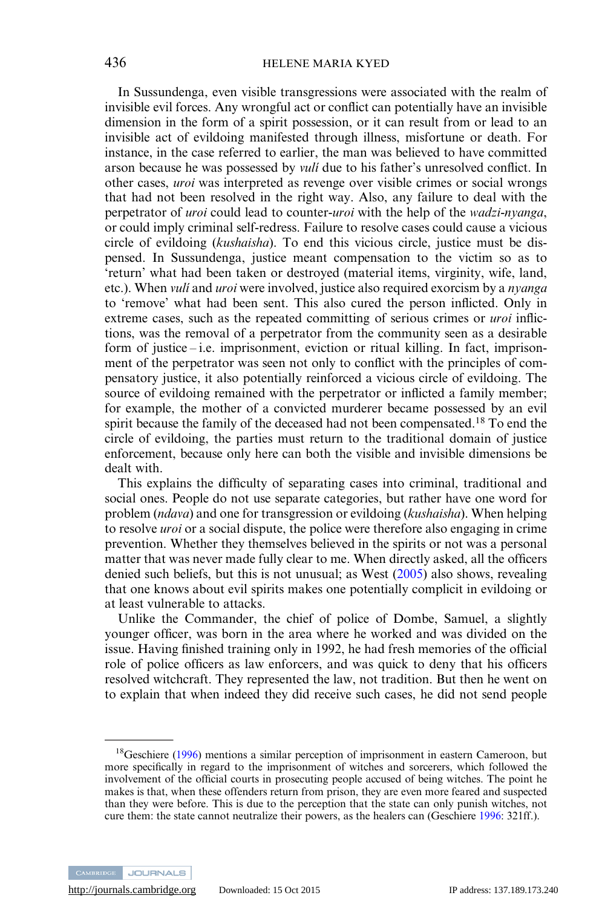In Sussundenga, even visible transgressions were associated with the realm of invisible evil forces. Any wrongful act or conflict can potentially have an invisible dimension in the form of a spirit possession, or it can result from or lead to an invisible act of evildoing manifested through illness, misfortune or death. For instance, in the case referred to earlier, the man was believed to have committed arson because he was possessed by vulí due to his father's unresolved conflict. In other cases, uroi was interpreted as revenge over visible crimes or social wrongs that had not been resolved in the right way. Also, any failure to deal with the perpetrator of uroi could lead to counter-uroi with the help of the wadzi-nyanga, or could imply criminal self-redress. Failure to resolve cases could cause a vicious circle of evildoing (kushaisha). To end this vicious circle, justice must be dispensed. In Sussundenga, justice meant compensation to the victim so as to 'return' what had been taken or destroyed (material items, virginity, wife, land, etc.). When vulí and uroi were involved, justice also required exorcism by a nyanga to 'remove' what had been sent. This also cured the person inflicted. Only in extreme cases, such as the repeated committing of serious crimes or *uroi* inflictions, was the removal of a perpetrator from the community seen as a desirable form of justice – i.e. imprisonment, eviction or ritual killing. In fact, imprisonment of the perpetrator was seen not only to conflict with the principles of compensatory justice, it also potentially reinforced a vicious circle of evildoing. The source of evildoing remained with the perpetrator or inflicted a family member; for example, the mother of a convicted murderer became possessed by an evil spirit because the family of the deceased had not been compensated.<sup>18</sup> To end the circle of evildoing, the parties must return to the traditional domain of justice enforcement, because only here can both the visible and invisible dimensions be dealt with.

This explains the difficulty of separating cases into criminal, traditional and social ones. People do not use separate categories, but rather have one word for problem (ndava) and one for transgression or evildoing (kushaisha). When helping to resolve uroi or a social dispute, the police were therefore also engaging in crime prevention. Whether they themselves believed in the spirits or not was a personal matter that was never made fully clear to me. When directly asked, all the officers denied such beliefs, but this is not unusual; as West ([2005](#page-19-0)) also shows, revealing that one knows about evil spirits makes one potentially complicit in evildoing or at least vulnerable to attacks.

Unlike the Commander, the chief of police of Dombe, Samuel, a slightly younger officer, was born in the area where he worked and was divided on the issue. Having finished training only in 1992, he had fresh memories of the official role of police officers as law enforcers, and was quick to deny that his officers resolved witchcraft. They represented the law, not tradition. But then he went on to explain that when indeed they did receive such cases, he did not send people

CAMBRIDGE JOURNALS

<sup>&</sup>lt;sup>18</sup>Geschiere ([1996\)](#page-18-0) mentions a similar perception of imprisonment in eastern Cameroon, but more specifically in regard to the imprisonment of witches and sorcerers, which followed the involvement of the official courts in prosecuting people accused of being witches. The point he makes is that, when these offenders return from prison, they are even more feared and suspected than they were before. This is due to the perception that the state can only punish witches, not cure them: the state cannot neutralize their powers, as the healers can (Geschiere [1996](#page-18-0): 321ff.).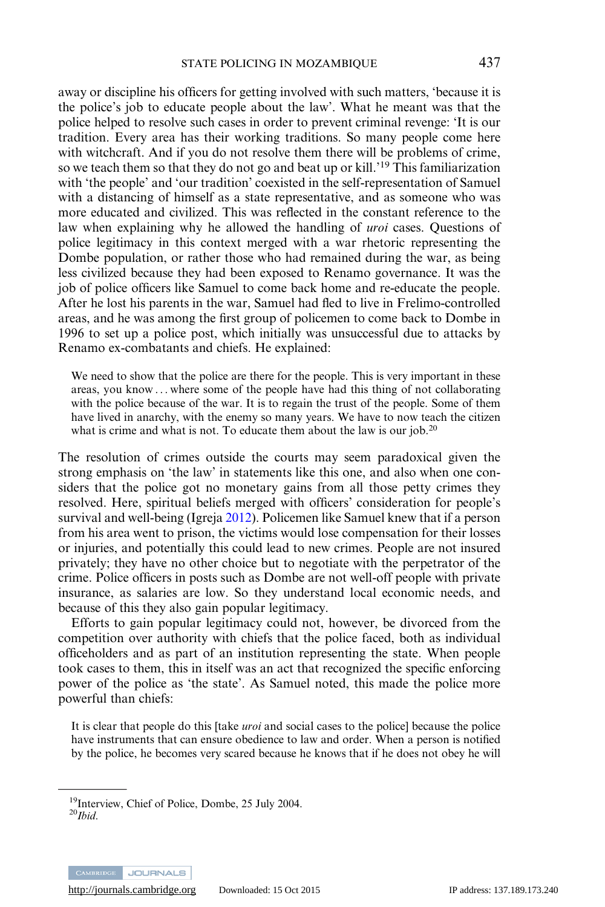away or discipline his officers for getting involved with such matters, 'because it is the police's job to educate people about the law'. What he meant was that the police helped to resolve such cases in order to prevent criminal revenge: 'It is our tradition. Every area has their working traditions. So many people come here with witchcraft. And if you do not resolve them there will be problems of crime, so we teach them so that they do not go and beat up or kill.<sup>'19</sup> This familiarization with 'the people' and 'our tradition' coexisted in the self-representation of Samuel with a distancing of himself as a state representative, and as someone who was more educated and civilized. This was reflected in the constant reference to the law when explaining why he allowed the handling of *uroi* cases. Questions of police legitimacy in this context merged with a war rhetoric representing the Dombe population, or rather those who had remained during the war, as being less civilized because they had been exposed to Renamo governance. It was the job of police officers like Samuel to come back home and re-educate the people. After he lost his parents in the war, Samuel had fled to live in Frelimo-controlled areas, and he was among the first group of policemen to come back to Dombe in 1996 to set up a police post, which initially was unsuccessful due to attacks by Renamo ex-combatants and chiefs. He explained:

We need to show that the police are there for the people. This is very important in these areas, you know ... where some of the people have had this thing of not collaborating with the police because of the war. It is to regain the trust of the people. Some of them have lived in anarchy, with the enemy so many years. We have to now teach the citizen what is crime and what is not. To educate them about the law is our job.<sup>20</sup>

The resolution of crimes outside the courts may seem paradoxical given the strong emphasis on 'the law' in statements like this one, and also when one considers that the police got no monetary gains from all those petty crimes they resolved. Here, spiritual beliefs merged with officers' consideration for people's survival and well-being (Igreja [2012\)](#page-18-0). Policemen like Samuel knew that if a person from his area went to prison, the victims would lose compensation for their losses or injuries, and potentially this could lead to new crimes. People are not insured privately; they have no other choice but to negotiate with the perpetrator of the crime. Police officers in posts such as Dombe are not well-off people with private insurance, as salaries are low. So they understand local economic needs, and because of this they also gain popular legitimacy.

Efforts to gain popular legitimacy could not, however, be divorced from the competition over authority with chiefs that the police faced, both as individual officeholders and as part of an institution representing the state. When people took cases to them, this in itself was an act that recognized the specific enforcing power of the police as 'the state'. As Samuel noted, this made the police more powerful than chiefs:

It is clear that people do this [take uroi and social cases to the police] because the police have instruments that can ensure obedience to law and order. When a person is notified by the police, he becomes very scared because he knows that if he does not obey he will

CAMBRIDGE JOURNALS

<sup>&</sup>lt;sup>19</sup>Interview, Chief of Police, Dombe, 25 July 2004.<br><sup>20</sup>*Ibid*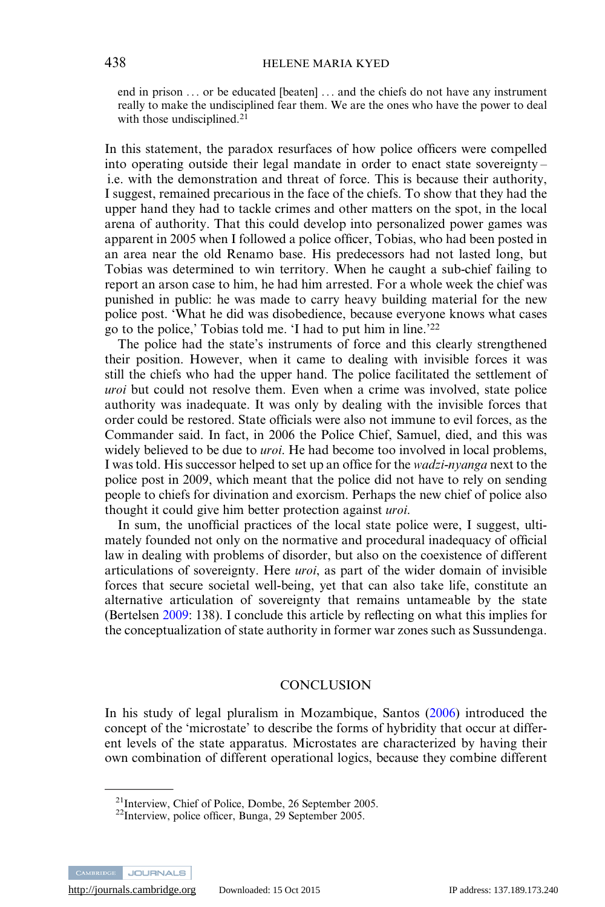end in prison ... or be educated [beaten] ... and the chiefs do not have any instrument really to make the undisciplined fear them. We are the ones who have the power to deal with those undisciplined.<sup>21</sup>

In this statement, the paradox resurfaces of how police officers were compelled into operating outside their legal mandate in order to enact state sovereignty – i.e. with the demonstration and threat of force. This is because their authority, I suggest, remained precarious in the face of the chiefs. To show that they had the upper hand they had to tackle crimes and other matters on the spot, in the local arena of authority. That this could develop into personalized power games was apparent in 2005 when I followed a police officer, Tobias, who had been posted in an area near the old Renamo base. His predecessors had not lasted long, but Tobias was determined to win territory. When he caught a sub-chief failing to report an arson case to him, he had him arrested. For a whole week the chief was punished in public: he was made to carry heavy building material for the new police post. 'What he did was disobedience, because everyone knows what cases go to the police,' Tobias told me. 'I had to put him in line.' 22

The police had the state's instruments of force and this clearly strengthened their position. However, when it came to dealing with invisible forces it was still the chiefs who had the upper hand. The police facilitated the settlement of uroi but could not resolve them. Even when a crime was involved, state police authority was inadequate. It was only by dealing with the invisible forces that order could be restored. State officials were also not immune to evil forces, as the Commander said. In fact, in 2006 the Police Chief, Samuel, died, and this was widely believed to be due to *uroi*. He had become too involved in local problems, I was told. His successor helped to set up an office for the wadzi-nyanga next to the police post in 2009, which meant that the police did not have to rely on sending people to chiefs for divination and exorcism. Perhaps the new chief of police also thought it could give him better protection against uroi.

In sum, the unofficial practices of the local state police were, I suggest, ultimately founded not only on the normative and procedural inadequacy of official law in dealing with problems of disorder, but also on the coexistence of different articulations of sovereignty. Here uroi, as part of the wider domain of invisible forces that secure societal well-being, yet that can also take life, constitute an alternative articulation of sovereignty that remains untameable by the state (Bertelsen [2009:](#page-18-0) 138). I conclude this article by reflecting on what this implies for the conceptualization of state authority in former war zones such as Sussundenga.

### **CONCLUSION**

In his study of legal pluralism in Mozambique, Santos ([2006\)](#page-19-0) introduced the concept of the 'microstate' to describe the forms of hybridity that occur at different levels of the state apparatus. Microstates are characterized by having their own combination of different operational logics, because they combine different

CAMBRIDGE JOURNALS

<sup>&</sup>lt;sup>21</sup>Interview, Chief of Police, Dombe, 26 September 2005.<br><sup>22</sup>Interview, police officer, Bunga, 29 September 2005.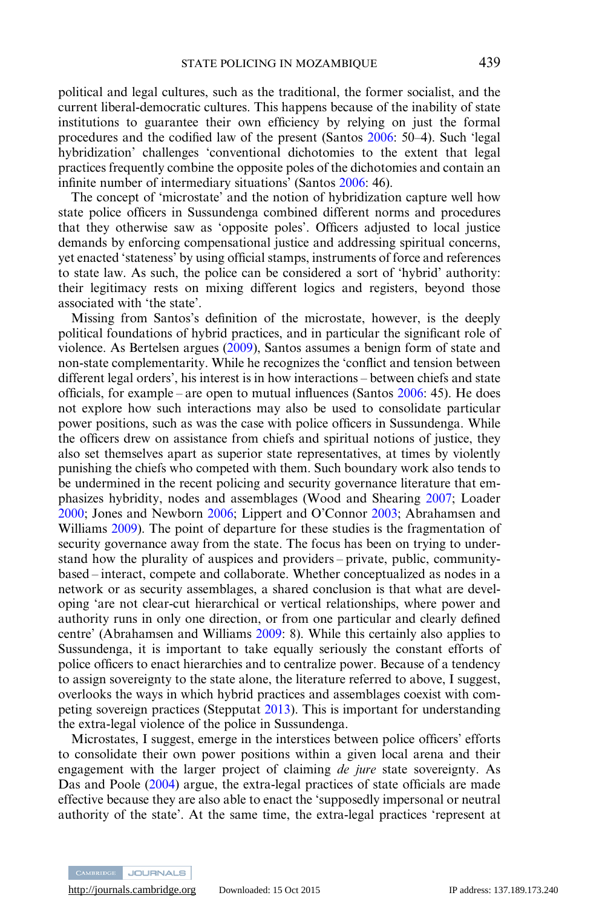political and legal cultures, such as the traditional, the former socialist, and the current liberal-democratic cultures. This happens because of the inability of state institutions to guarantee their own efficiency by relying on just the formal procedures and the codified law of the present (Santos [2006](#page-19-0): 50–4). Such 'legal hybridization' challenges 'conventional dichotomies to the extent that legal practices frequently combine the opposite poles of the dichotomies and contain an infinite number of intermediary situations' (Santos [2006:](#page-19-0) 46).

The concept of 'microstate' and the notion of hybridization capture well how state police officers in Sussundenga combined different norms and procedures that they otherwise saw as 'opposite poles'. Officers adjusted to local justice demands by enforcing compensational justice and addressing spiritual concerns, yet enacted 'stateness' by using official stamps, instruments of force and references to state law. As such, the police can be considered a sort of 'hybrid' authority: their legitimacy rests on mixing different logics and registers, beyond those associated with 'the state'.

Missing from Santos's definition of the microstate, however, is the deeply political foundations of hybrid practices, and in particular the significant role of violence. As Bertelsen argues ([2009\)](#page-18-0), Santos assumes a benign form of state and non-state complementarity. While he recognizes the 'conflict and tension between different legal orders', his interest is in how interactions – between chiefs and state officials, for example – are open to mutual influences (Santos [2006](#page-19-0): 45). He does not explore how such interactions may also be used to consolidate particular power positions, such as was the case with police officers in Sussundenga. While the officers drew on assistance from chiefs and spiritual notions of justice, they also set themselves apart as superior state representatives, at times by violently punishing the chiefs who competed with them. Such boundary work also tends to be undermined in the recent policing and security governance literature that emphasizes hybridity, nodes and assemblages (Wood and Shearing [2007](#page-19-0); Loader [2000;](#page-19-0) Jones and Newborn [2006;](#page-18-0) Lippert and O'Connor [2003](#page-19-0); Abrahamsen and Williams [2009](#page-17-0)). The point of departure for these studies is the fragmentation of security governance away from the state. The focus has been on trying to understand how the plurality of auspices and providers – private, public, communitybased – interact, compete and collaborate. Whether conceptualized as nodes in a network or as security assemblages, a shared conclusion is that what are developing 'are not clear-cut hierarchical or vertical relationships, where power and authority runs in only one direction, or from one particular and clearly defined centre' (Abrahamsen and Williams [2009:](#page-17-0) 8). While this certainly also applies to Sussundenga, it is important to take equally seriously the constant efforts of police officers to enact hierarchies and to centralize power. Because of a tendency to assign sovereignty to the state alone, the literature referred to above, I suggest, overlooks the ways in which hybrid practices and assemblages coexist with competing sovereign practices (Stepputat [2013](#page-19-0)). This is important for understanding the extra-legal violence of the police in Sussundenga.

Microstates, I suggest, emerge in the interstices between police officers' efforts to consolidate their own power positions within a given local arena and their engagement with the larger project of claiming *de jure* state sovereignty. As Das and Poole ([2004\)](#page-18-0) argue, the extra-legal practices of state officials are made effective because they are also able to enact the 'supposedly impersonal or neutral authority of the state'. At the same time, the extra-legal practices 'represent at

CAMBRIDGE JOURNALS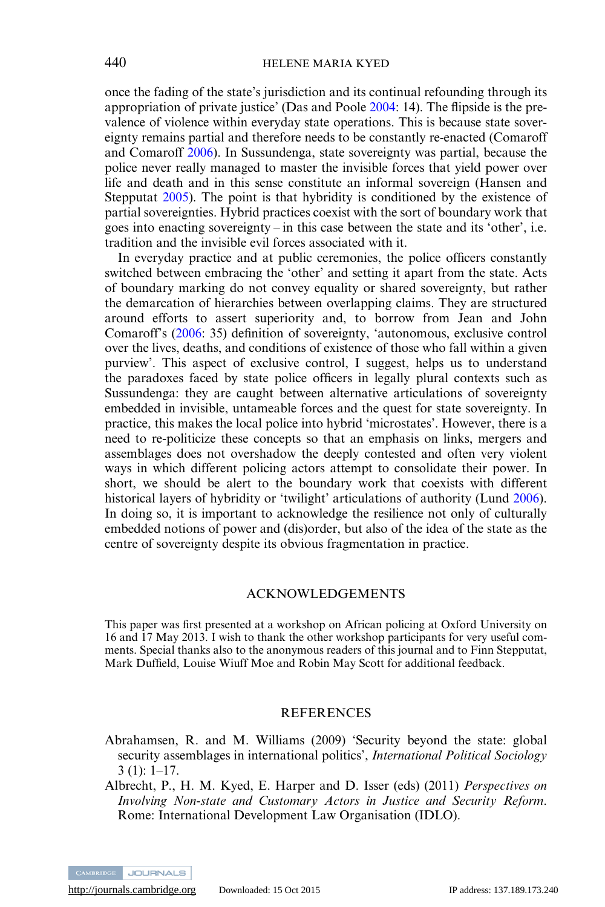<span id="page-17-0"></span>once the fading of the state's jurisdiction and its continual refounding through its appropriation of private justice' (Das and Poole [2004](#page-18-0): 14). The flipside is the prevalence of violence within everyday state operations. This is because state sovereignty remains partial and therefore needs to be constantly re-enacted (Comaroff and Comaroff [2006\)](#page-18-0). In Sussundenga, state sovereignty was partial, because the police never really managed to master the invisible forces that yield power over life and death and in this sense constitute an informal sovereign (Hansen and Stepputat [2005\)](#page-18-0). The point is that hybridity is conditioned by the existence of partial sovereignties. Hybrid practices coexist with the sort of boundary work that goes into enacting sovereignty – in this case between the state and its 'other', i.e. tradition and the invisible evil forces associated with it.

In everyday practice and at public ceremonies, the police officers constantly switched between embracing the 'other' and setting it apart from the state. Acts of boundary marking do not convey equality or shared sovereignty, but rather the demarcation of hierarchies between overlapping claims. They are structured around efforts to assert superiority and, to borrow from Jean and John Comaroff's [\(2006](#page-18-0): 35) definition of sovereignty, 'autonomous, exclusive control over the lives, deaths, and conditions of existence of those who fall within a given purview'. This aspect of exclusive control, I suggest, helps us to understand the paradoxes faced by state police officers in legally plural contexts such as Sussundenga: they are caught between alternative articulations of sovereignty embedded in invisible, untameable forces and the quest for state sovereignty. In practice, this makes the local police into hybrid 'microstates'. However, there is a need to re-politicize these concepts so that an emphasis on links, mergers and assemblages does not overshadow the deeply contested and often very violent ways in which different policing actors attempt to consolidate their power. In short, we should be alert to the boundary work that coexists with different historical layers of hybridity or 'twilight' articulations of authority (Lund [2006](#page-19-0)). In doing so, it is important to acknowledge the resilience not only of culturally embedded notions of power and (dis)order, but also of the idea of the state as the centre of sovereignty despite its obvious fragmentation in practice.

#### ACKNOWLEDGEMENTS

This paper was first presented at a workshop on African policing at Oxford University on 16 and 17 May 2013. I wish to thank the other workshop participants for very useful comments. Special thanks also to the anonymous readers of this journal and to Finn Stepputat, Mark Duffield, Louise Wiuff Moe and Robin May Scott for additional feedback.

## REFERENCES

- Abrahamsen, R. and M. Williams (2009) 'Security beyond the state: global security assemblages in international politics', *International Political Sociology* 3 (1): 1–17.
- Albrecht, P., H. M. Kyed, E. Harper and D. Isser (eds) (2011) Perspectives on Involving Non-state and Customary Actors in Justice and Security Reform. Rome: International Development Law Organisation (IDLO).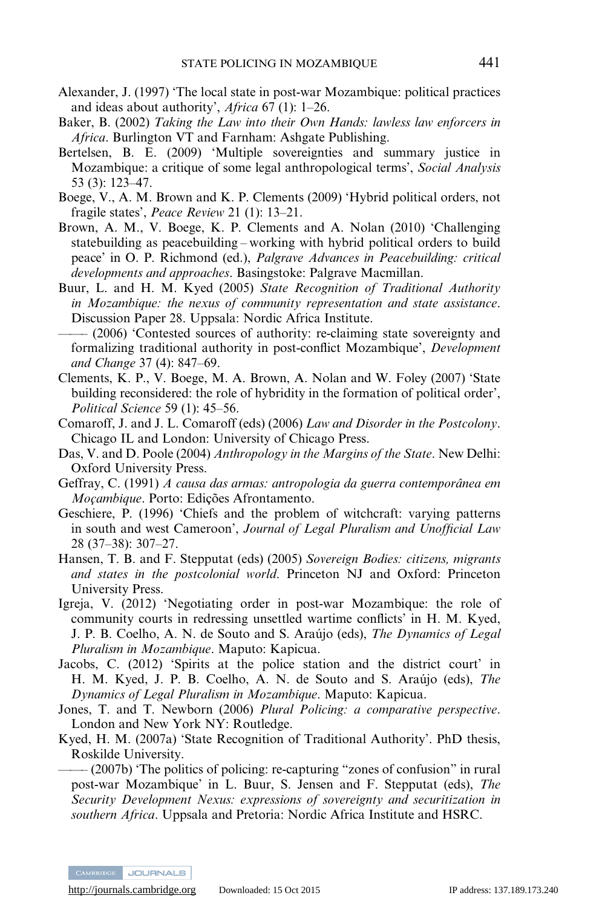- <span id="page-18-0"></span>Alexander, J. (1997) 'The local state in post-war Mozambique: political practices and ideas about authority', Africa 67 (1): 1–26.
- Baker, B. (2002) Taking the Law into their Own Hands: lawless law enforcers in Africa. Burlington VT and Farnham: Ashgate Publishing.
- Bertelsen, B. E. (2009) 'Multiple sovereignties and summary justice in Mozambique: a critique of some legal anthropological terms', Social Analysis 53 (3): 123–47.
- Boege, V., A. M. Brown and K. P. Clements (2009) 'Hybrid political orders, not fragile states', Peace Review 21 (1): 13–21.
- Brown, A. M., V. Boege, K. P. Clements and A. Nolan (2010) 'Challenging statebuilding as peacebuilding – working with hybrid political orders to build peace' in O. P. Richmond (ed.), Palgrave Advances in Peacebuilding: critical developments and approaches. Basingstoke: Palgrave Macmillan.
- Buur, L. and H. M. Kyed (2005) State Recognition of Traditional Authority in Mozambique: the nexus of community representation and state assistance. Discussion Paper 28. Uppsala: Nordic Africa Institute.

——– (2006) 'Contested sources of authority: re-claiming state sovereignty and formalizing traditional authority in post-conflict Mozambique', Development and Change 37 (4): 847–69.

- Clements, K. P., V. Boege, M. A. Brown, A. Nolan and W. Foley (2007) 'State building reconsidered: the role of hybridity in the formation of political order', Political Science 59 (1): 45–56.
- Comaroff, J. and J. L. Comaroff (eds) (2006) Law and Disorder in the Postcolony. Chicago IL and London: University of Chicago Press.
- Das, V. and D. Poole (2004) Anthropology in the Margins of the State. New Delhi: Oxford University Press.
- Geffray, C. (1991) A causa das armas: antropologia da guerra contemporânea em Moçambique. Porto: Edições Afrontamento.
- Geschiere, P. (1996) 'Chiefs and the problem of witchcraft: varying patterns in south and west Cameroon', Journal of Legal Pluralism and Unofficial Law 28 (37–38): 307–27.
- Hansen, T. B. and F. Stepputat (eds) (2005) Sovereign Bodies: citizens, migrants and states in the postcolonial world. Princeton NJ and Oxford: Princeton University Press.
- Igreja, V. (2012) 'Negotiating order in post-war Mozambique: the role of community courts in redressing unsettled wartime conflicts' in H. M. Kyed, J. P. B. Coelho, A. N. de Souto and S. Araújo (eds), The Dynamics of Legal Pluralism in Mozambique. Maputo: Kapicua.
- Jacobs, C. (2012) 'Spirits at the police station and the district court' in H. M. Kyed, J. P. B. Coelho, A. N. de Souto and S. Araújo (eds), The Dynamics of Legal Pluralism in Mozambique. Maputo: Kapicua.
- Jones, T. and T. Newborn (2006) Plural Policing: a comparative perspective. London and New York NY: Routledge.
- Kyed, H. M. (2007a) 'State Recognition of Traditional Authority'. PhD thesis, Roskilde University.

——– (2007b) 'The politics of policing: re-capturing "zones of confusion" in rural post-war Mozambique' in L. Buur, S. Jensen and F. Stepputat (eds), The Security Development Nexus: expressions of sovereignty and securitization in southern Africa. Uppsala and Pretoria: Nordic Africa Institute and HSRC.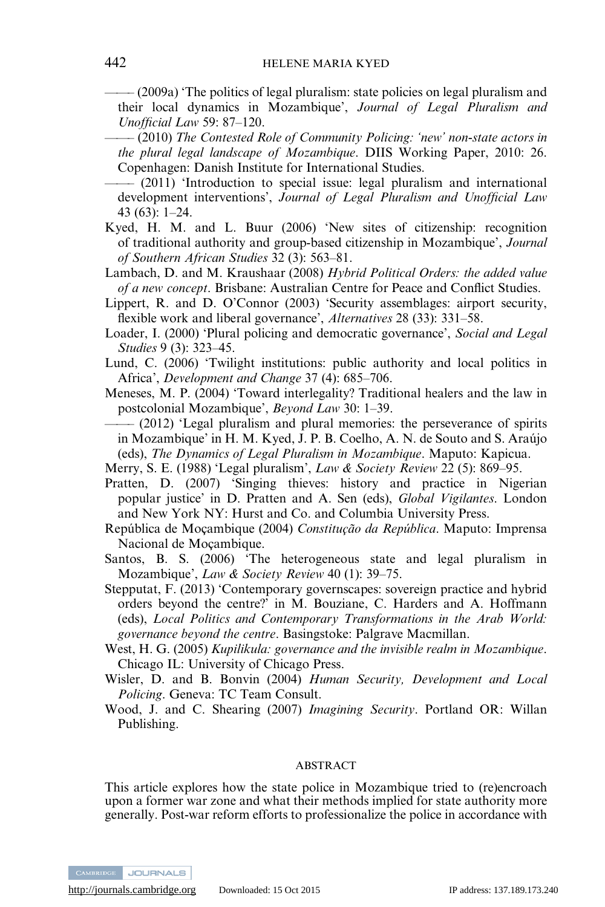<span id="page-19-0"></span>——– (2009a) 'The politics of legal pluralism: state policies on legal pluralism and their local dynamics in Mozambique', Journal of Legal Pluralism and Unofficial Law 59: 87–120.

- ——– (2010) The Contested Role of Community Policing: 'new' non-state actors in the plural legal landscape of Mozambique. DIIS Working Paper, 2010: 26. Copenhagen: Danish Institute for International Studies.
- ——– (2011) 'Introduction to special issue: legal pluralism and international development interventions', Journal of Legal Pluralism and Unofficial Law 43 (63): 1–24.
- Kyed, H. M. and L. Buur (2006) 'New sites of citizenship: recognition of traditional authority and group-based citizenship in Mozambique', Journal of Southern African Studies 32 (3): 563–81.
- Lambach, D. and M. Kraushaar (2008) Hybrid Political Orders: the added value of a new concept. Brisbane: Australian Centre for Peace and Conflict Studies.
- Lippert, R. and D. O'Connor (2003) 'Security assemblages: airport security, flexible work and liberal governance', Alternatives 28 (33): 331-58.
- Loader, I. (2000) 'Plural policing and democratic governance', Social and Legal Studies 9 (3): 323–45.
- Lund, C. (2006) 'Twilight institutions: public authority and local politics in Africa', Development and Change 37 (4): 685–706.
- Meneses, M. P. (2004) 'Toward interlegality? Traditional healers and the law in postcolonial Mozambique', Beyond Law 30: 1–39.
- $-$  (2012) 'Legal pluralism and plural memories: the perseverance of spirits in Mozambique' in H. M. Kyed, J. P. B. Coelho, A. N. de Souto and S. Araújo (eds), The Dynamics of Legal Pluralism in Mozambique. Maputo: Kapicua.
- Merry, S. E. (1988) 'Legal pluralism', Law & Society Review 22 (5): 869–95.
- Pratten, D. (2007) 'Singing thieves: history and practice in Nigerian popular justice' in D. Pratten and A. Sen (eds), Global Vigilantes. London and New York NY: Hurst and Co. and Columbia University Press.
- República de Moçambique (2004) Constitução da República. Maputo: Imprensa Nacional de Moçambique.
- Santos, B. S. (2006) 'The heterogeneous state and legal pluralism in Mozambique', Law & Society Review 40 (1): 39-75.
- Stepputat, F. (2013) 'Contemporary governscapes: sovereign practice and hybrid orders beyond the centre?' in M. Bouziane, C. Harders and A. Hoffmann (eds), Local Politics and Contemporary Transformations in the Arab World: governance beyond the centre. Basingstoke: Palgrave Macmillan.
- West, H. G. (2005) Kupilikula: governance and the invisible realm in Mozambique. Chicago IL: University of Chicago Press.
- Wisler, D. and B. Bonvin (2004) Human Security, Development and Local Policing. Geneva: TC Team Consult.
- Wood, J. and C. Shearing (2007) Imagining Security. Portland OR: Willan Publishing.

#### ABSTRACT

This article explores how the state police in Mozambique tried to (re)encroach upon a former war zone and what their methods implied for state authority more generally. Post-war reform efforts to professionalize the police in accordance with